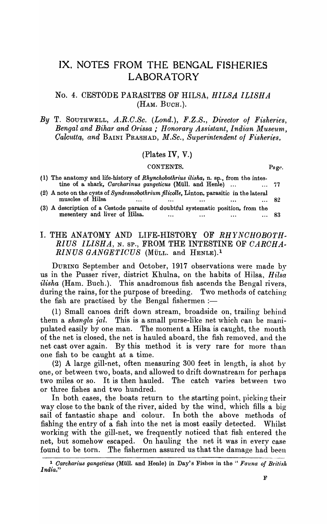# IX. NOTES FROM THE BENGAL FISHERIES LABORATORY

### No.4. CESTODE PARASITES OF HILSA, *HILSA ILISHA*  (HAM. BUCH.).

### *By* T. SOUTHWELL, *A.R.C.Sc. (Lond.), F.Z.S., Director of Fisheries,*  **Bengal and Bihar and Orissa; Honorary Assistant, Indian Museum,** *Calcutta, and BAINI PRASHAD, M.Sc., Superintendent of Fisheries,*

### (Plates IV, V.)

#### CONTENTS. Page.

| (1) The anatomy and life-history of Rhynchobothrius ilisha, n. sp., from the intes-<br>tine of a shark, Carcharinus gangeticus (Müll. and Henle)<br>$\dots$ 77 |     |
|----------------------------------------------------------------------------------------------------------------------------------------------------------------|-----|
| (2) A note on the cysts of Syndesmobothrium filicolle, Linton, parasitic in the lateral<br>muscles of Hilsa<br>82<br>$\cdots$<br>$\cdots$<br>$\cdots$<br>      |     |
| (3) A description of a Cestode parasite of doubtful systematic position, from the<br>mesentery and liver of Hilsa.<br>$\cdots$<br>$\cdots$<br>                 | -83 |

## I. THE ANATOMY AND LIFE-HISTORY OF *RHYNCHOBOTH .. RIUS ILISHA,* N. SP., FROM THE INTESTINE OF *CARCHA .. RINUS GANGETICUS* (MÜLL. and HENLE).<sup>1</sup>

DURING September and October, 1917 observations were made by us in the Pusser river, district Khulna, on the habits of Hilsa, *Hilsa ilisha* (Ham. Buch.). This anadromous fish ascends the Bengal rivers, during the rains, for the purpose of breeding. Two methods of catching the fish are practised by the Bengal fishermen :-

(1) Small canoes drift down stream, broadside on, trailing behind them a *shangla jal.* This is a small purse-like net which can be manipulated easily by one man. The moment a Hilsa is caught, the mouth of the net is closed, the net is hauled aboard, the fish removed, and the net cast over again. By this method it is very rare for more than one fish to be caught at a time.

(2) A large gill-net, often measuring 300 feet in length, is shot by one, or between two, boats, and allowed to drift downstream for perhaps two miles or so. It is then hauled. The catch varies between two or three fishes and two hundred.

In both cases, the boats return to the starting point, picking their way close to the bank of the river, aided by the wind, which fills a big sail of fantastic shape and colour. In both the above methods of fishing the entry of a fish into the net is most easily deteeted. Whilst working with the gill-net, we frequently noticed that fish entered the net, but somehow escaped. On hauling the net it was in every ease found to be torn. The fishermen assured us that the damage had been

<sup>&</sup>lt;sup>1</sup> Carcharius gangeticus (Müll. and Henle) in Day's Fishes in the " Fauna of British *India,"*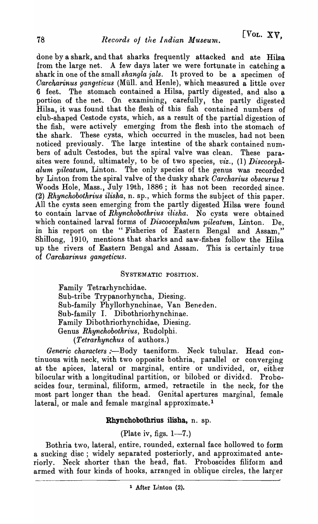done by a shark, and that sharks frequently attacked and ate Hiisa from the large net. A few days later we were fortunate in catching a shark in one of the small *shangla jals*. It proved to be a specimen of *Carcharinus gangeticus* (Müll. and Henle), which measured a little over 6 feet. The stomach contained a Hilsa, partly digested, and also a portion of the net. On examining, carefully, the partly digested Hilsa, it was found that the flesh of this fish contained numbers of club-shaped Cestode cysts, which, as a result of the partial digestion of the fish, were actively emerging from the flesh into the stomach of the shark. These cysts, which occurred in the muscles, had not been noticed previously. The large intestine of the shark contained numbers of adult Cestodes, but the spiral valve was clean. These parasites were found, ultimately, to be of two species, *viz.*, (1) Discoceph*alum pileatum,* Linton. The only species of the genus was recorded by Linton from the spiral valve of the dusky shark *Carcharius obscurus* ? Woods Hole, Mass., July 19th, 1886; it has not been recorded since. (2) *Rhynchobothrius ilisha,* n. sp., which forms the subject of this paper. All the cysts seen emerging from the partly digested Hilsa were found to contain larvae of *Rhynchobothrius ilisha*. No cysts were obtained which contained larval forms of *Discocephalum pileatum*, Linton. De, in his report on the "Fisheries of Eastern Bengal and Assam," Shillong, 1910, mentions that sharks and saw-fishes follow the Hilsa up the rivers of Eastern Bengal and Assam. This is certainly true of *Carcharinus gangeticus*.

### SYSTEMATIC POSITION.

Family Tetrarhynchidae. Sub-tribe Trypanorhyncha, Diesing. Sub-family Phyllorhynchinae, Van Beneden. Sub-family I. Dibothriorhynchinae. Family Dibothriorhynchidae, Diesing. Genus *Rhynchobothrius,* Rudolphi. *(Tetrarhynchus* of authors.)

*Generic characters* :-Body taeniform. Neck tubular. Head continuous with neck, with two opposite bothria, parallel or converging at the apices, lateral or marginal, entire or undivided, or, either bilocular with a longitudinal partition, or bilobed or divided. Proboscides four, terminal, filiform, armed, retractile in the neck, for the most part longer than the head. Genital apertures marginal, female lateral, or male and female marginal approximate.<sup>1</sup>

# Rhynchobothrius ilisha, n. sp.

(Plate iv, figs.  $1-7$ .)

Bothria two, lateral, entire, rounded, external face hollowed to form a sucking disc; widely separated posteriorly, and approximated anteriorly. Neck shorter than the head, flat. Proboscides filiform and armed with four kinds of hooks, arranged in oblique circles, the larger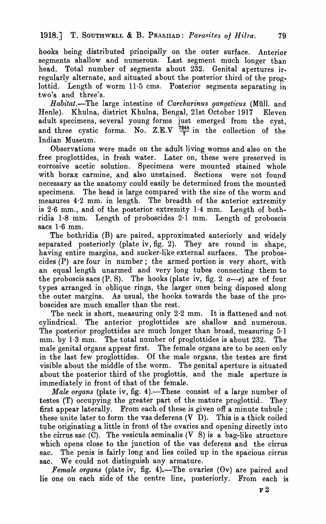hooks being distributed principally on the outer surface. Anterior segments shallow and numerous. Last segment much longer than head. Total number of segments about 232. Genital apertures irregularly alternate, and situated about the posterior third of the proglottid. Length of worm 11·5 ems. Posterior segments separating in two's and three's.

*Habitat.*-The large intestine of *Carcharinus gangeticus* (Müll. and Henle). Khulna, district Khulna, Bengal, 21st October 1917 Eleven adult specimens, several young forms just emerged from the cyst, and three cystic forms. No. Z.E.V  $\frac{7248}{7}$  in the collection of the Indian Museum.

Observations were made on the adult living worms and also on the free proglottides, in fresh water. Later on, these were preserved in corrosive acetic solution. Specimens were mounted stained whole with borax carmine, and also unstained. Sections were not found necessary as the anatomy could easily be determined from the mounted specimens. The head is large compared with the size of the worm and measures 4·2 mm. in length. The breadth of the anterior extremity is  $2.6$  mm., and of the posterior extremity  $1.4$  mm. Length of bothridia 1·8 mm. Length of proboscides 2·1 mm. Length of proboscis sacs 1·6 mm.

The bothridia (B) are paired, approximated anteriorly and widely separated posteriorly (plate iv, fig. 2). They are round in shape, having entire margins, and sucker-like external surfaces. The proboscides (P) are four in number; the armed portion is very short, with an equal length unarmed and very long tubes connecting them to the proboscis sacs  $(P, S)$ . The hooks (plate iv, fig. 2  $a-e$ ) are of four types arranged in oblique rings, the larger ones being disposed along the outer margins. As usual, the hooks towards the base of the proboscides are much smaller than the rest.

The neck is short, measuring only 2.2 mm. It is flattened and not cylindrical. The anterior proglottides are shallow and numerous. The posterior proglottides are much longer than broad, measuring 5·1 mm. by 1·3 mm. The total number of proglottides is about 232. The male genital organs appear first. The female organs are to be seen only in the last few proglottides. Of the male organs, the testes are first visible about the middle of the worm. The genital aperture is situated about the posterior third of the proglottis, and the male aperture is immediately in front of that of the female.

*Male organs* (plate iv, fig. 4).—These consist of a large number of testes (T) occupying the greater part of the mature proglottid. They first appear laterally. From each of these is given off a minute tubule; these unite later to form the vas deferens (V D). This is a thick coiled tube originating a little in front of the ovaries and opening directly into the cirrus sac  $(\overline{C})$ . The vesicula seminalis  $(V S)$  is a bag-like structure which opens close to the junction of the vas deferens and the cirrus sac. The penis is fairly long and lies coiled up in the spacious cirrus sac. We could not distinguish any armature.

*Female organs* (plate iv, fig. 4). The ovaries (Ov) are paired and lie one on each side of the centre line, posteriorly. From each is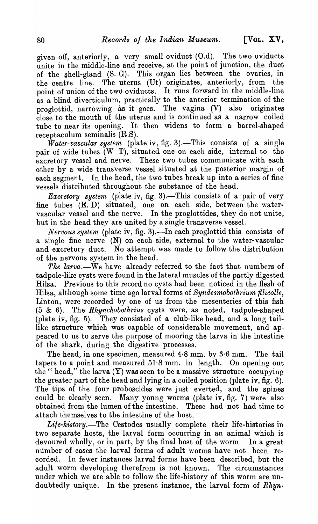given off, anteriorly, a very small oviduct (O.d). The two oviducts unite in the middle-line and receive, at the point of junction, the duct of the ehell-gland (S. G). This organ lies between the ovaries, in the centre line. The uterus (Ut) originates, anteriorly, from the point of union of the two oviducts. It runs forward in the middle-line as a blind diverticulum, practically to the anterior termination of the proglottid, narrowing as it goes. The vagina (V) also originates close to the mouth of the uterus and is continued as a narrow coiled tube to near its opening. It then widens to form a barrel-shaped receptaculum seminalis (R.S).

*Water-vascular system* (plate iv, fig. 3).—This consists of a single pair of wide tubes (W T), situated one on each side, internal to the excretory vessel and nerve. These two tubes communicate with each other by a wide transverse vessel situated at the posterior margin of each segment. In the head, the two tubes break up into a series of fine vessels distributed throughout the substance of the head.

*Excretory system* (plate iv, fig. 3).—This consists of a pair of very fine tubes (E. D) situated, one on each side, between the water· vascular vessel and the nerve. In the proglottides, they do not unite, but in the head they are united by a single transverse vessel.

*Nervous system (plate iv, fig. 3).—In each proglottid this consists of* a single fine nerve (N) on each side, external to the water-vascular and excretory duct. No attempt was made to follow the distribution of the nervous system in the head.

The larva.—We have already referred to the fact that numbers of tadpole-like cysts were found in the lateral muscles of the partly digested Hilsa. Previous to this record no cysts had been noticed in the flesh of Hilsa, although some time ago larval forms of *Syndesmobothrium filicolle,*  Linton, were recorded by one of us from the mesenteries of this fish (5 & 6). The *Rhynchobothrius* cysts were, as noted, tadpole-shaped (plate iv, fig. 5). They consisted of a club-like head, and a long taillike structure which was capable of considerable movement, and appeared to us to serve the purpose of mooring the larva in the intestine of the shark, during the digestive processes.

The head, in one specimen, measured  $4.8$  mm. by  $3.6$  mm. The tail tapers to a point and measured  $51·8$  mm. in length. On opening out the " head," the larva  $(Y)$  was seen to be a massive structure occupying the greater part of the head and lying in a coiled position (plate iv, fig. 6). The tips of the four proboscides were just everted, and the spines could be clearly seen. Many young worms (plate iv, fig. 7) were also obtained from the lumen of the intestine. These had not had time to attach themselves to the intestine of the host.

Life-history.—The Cestodes usually complete their life-histories in two separate hosts, the larval form occurring in an animal which is devoured wholly, or in part, by the final host of the worm. In a great number of cases the larval forms of adult worms have not been recorded. In fewer instances larval forms have been described, but the adult worm developing therefrom is not known. The circumstances under which we are able to follow the life-history of this worm are undoubtedly unique. In the present instance, the larval form of  $Rhyn$ .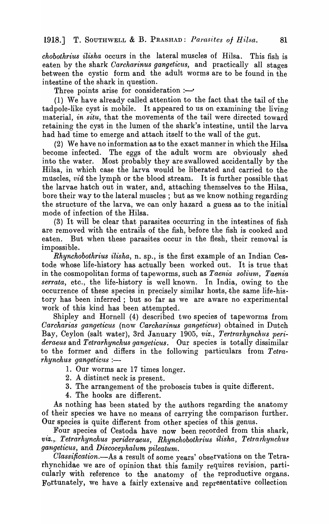*chobothrius ilisha* occurs in the lateral muscles of Hilsa. This fish is eaten by the shark *Carcharinus gangeticus,* and practically all stages between the cystic form and the adult worms are to be found in the intestine of the shark in question.

Three points arise for consideration : $-$ 

(1 ) We have already called attention to the fact that the tail of the tadpole-like cyst is mobile. It appeared to us on examining the living material, *in situ*, that the movements of the tail were directed toward retaining the cyst in the lumen of the shark's intestine, until the larva had had time to emerge and attach itself to the wall of the gut.

(2) We have no information as to the exact manner in which the Hilsa become infected. The eggs of the adult worm are obviously shed into the water. Most probably they are swallowed accidentally by the Hilsa, in which case the larva would be liberated and carried to the muscles,  $vi\hat{a}$  the lymph or the blood stream. It is further possible that the larvae hatch out in water, and, attaching themselves to the Hilsa, bore their way to the lateral muscles; but as we know nothing regarding the structure of the larva, we can only hazard a guess as to the initial mode of infection of the Hilsa.

(3) It will be clear that parasites occurring in the intestines of fish are removed with the entrails of the fish, before the fish is cooked and eaten. But when these parasites occur in the flesh, their removal is im possi ble.

*Rhynchobothrius ilisha,* n. sp., is the first example of an Indian Cestode whose life-history has actually been worked out. It is true that in the cosmopolitan forms of tapeworms, such as *Taenia solium*, *Taenia serrata,* etc., the life-history is well known. In India, owing to the occurrence of these species in precisely similar hosts, the same life-history has been inferred; but so far as we are aware no experimental work of this kind has been attempted.

Shipley and Hornell (4) described two species of tapeworms from *Carcharias gangeticus* (now *Carcharinus gangeticus)* obtained in Dutch Bay, Ceylon (salt water), 3rd January 1905, *viz., Tertrarhynchus perideraeus* and *Tetrarhynchus gangeticus.* Our species is totally dissimilar to the former and differs in the following particulars from *Tetrarhynchus gangeticus* :-

- 1. Our worms are 17 times longer.
- 2. A distinct neck is present.
- 3. The arrangement of the proboscis tubes is quite different.
- 4. The hooks are different.

As nothing has been stated by the authors regarding the anatomy of their species we have no means of carrying the comparison further. Our species is quite different from other species of this genus.

Four species of Cestoda have now been recorded from this shark, *V1;Z." Tetrarhynchus perideraeus, Rhynchobothrius ilisha, Tetra'thynchus gangeticus,* and *Discocephalum pileatum.* 

Classification.-As a result of some years' observations on the Tetrarhynchidae we are of opinion that this family requires revision, particularly with reference to the anatomy of the reproductive organs. Fortunately, we have a fairly extensive and representative collection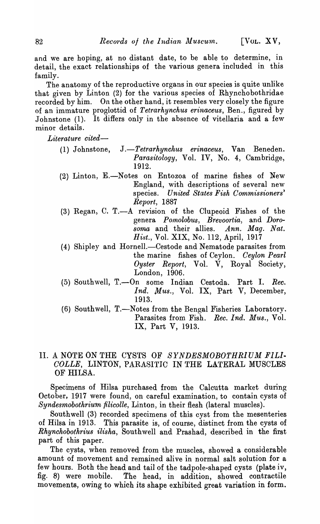and we are hoping, at no distant date, to be able to determine, in detail, the exact relationships of the various genera included in this family.

The anatomy of the reproductive organs in our species is quite unlike that given by Linton (2) for the various species of Rhyncho bothridae recorded by him. On the other hand, it resembles very closely the figure of an immature proglottid of *Tetrarhynchus erinaceus,* Ben., figured by Johnstone  $(1)$ . It differs only in the absence of vitellaria and a few minor details.

*Literature cited-*

- (1) Johnstone, *J.-Tetrarhync}l,us erinaceus,* Van Beneden. Parasitology, Vol. IV, No. 4, Cambridge, 1912.
- (2) Linton, E.-Notes on Entozoa of marine fishes of New England, with descriptions of several new species. *United States Fish Commissioners' Report, 1887*
- (3) Regan, C. T.-A revision of the Clupeoid Fishes of the genera *Pomolobus, .Brevoortia,* and *Doro*soma and their allies. Ann. Maq. Nat. *Hist.,* Vol. XIX, No. 112, April, 1917
- (4) Shipley and Hornell.—Cestode and Nematode parasites from the marine fishes of Ceylon. *Ceylon Pearl Oyster Report,* VoL V, Royal Society, London, 1906.
- (5) Southwell, T.-On some Indian Cestoda. Part I. *Ree. Ind. Mus.,* Vol. IX, Part V, December, 1913.
- (6) Southwell, T.-Notes from the Bengal Fisheries Laboratory. Parasites from Fish. *Ree. Ind. Mus.,* Vol. IX, Part V, 1913.

# II. A NOTE ON THE CYSTS OF *SYNDESMOBOTHRIUM FILl· COLLE,* LINTON, PARASITIC IN THE LATERAL MUSCLES OF HILSA.

Specimens of Hilsa purchased from the Calcutta market during October, 1917 were found, on careful examination, to contain cysts of *Syndesmobothrium filicolle,* Linton, in their flesh (lateral muscles).

Southwell (3) recorded specimens of this cyst from the mesenteries of Hilsa in 1913. This parasite is, of course, distinct from the cysts of *Rhynchobothrius ilisha,* Southwell and Prashad, described in the first part of this paper.

The cysts, when removed from the muscles, showed a considerable amount of movement and remained alive in normal salt solution for a few hours. Both the head and tail of the tadpole-shaped cysts (plate iv, fig. 8) were mobile. The head, in addition, showed contractile movements, owing to which its shape exhibited great variation in form.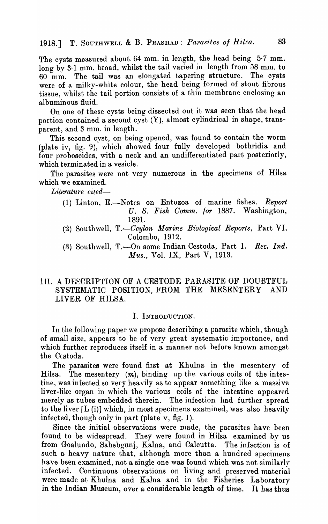The cysts measured about. 64 mm. in length, the head being 5·7 mm. long by 3·1 mm. broad, whilst the tail varied in length from 58 mm. to 60 mm. The tail was an elongated tapering structure. The cysts were of a milky-white colour, the head being formed of stout fibrous tissue, whilst the tail portion consists of a thin membrane enclosing an albuminous fluid.

On one of these cysts being dissected out it was seen that the head portion contained a second cyst (Y), almost cylindrical in shape, transparent, and 3 mm. in length.

This second cyst, on being opened, was found to contain the worm (plate iv, fig. 9), which showed four fully developed bothridia and four proboscides, with a neck and an undifferentiated part posteriorly, which terminated in a vesicle.

The parasites were not very numerous in the specimens of Hilsa which we examined.

*Literature cited-*

- (1) Linton, E.-Notes on Entozoa of marine fishes. *Report*  U. S. Fish Comm. for 1887. Washington, 1891.
- (2) Southwell, T.-Ceylon Marine Biological Reports, Part VI. Colombo, 1912.
- (3) Southwell, T.-On some Indian Cestoda, Part I. *Rec. Ind. Mus.,* Vol. IX, Part V, 1913.

### III. A DESCRIPTION OF A CESTODE PARASITE OF DOUBTFUL<br>SYSTEMATIC POSITION FROM THE MESENTERY AND SYSTEMATIC POSITION, FROM THE MESENTERY LIVER OF HILSA.

#### I. INTRODUCTION.

In the following paper we propose describing a parasite which, though of small size, appears to be of very great systematic importance, and which further reproduces itself in a manner not before known amongst the Cestoda.

The parasites were found first at Khulna in the mesentery of Hilsa. The mesentery  $(m)$ , binding up the various coils of the intestine, was infected so very heavily as to appear something like a massive liver-like organ in which the various coils of the intestine appeared merely as tubes embedded therein. The infection had further spread to the liver [L (i)] which, in most specimens examined, was also heavily infected, though only in part (plate v, fig. ]).

Since the initial observations were made, the parasites have been found to be widespread. They were found in Hilsa examined by us from Goalundo, Sahebgunj, Kalna, and Calcutta. The infection is of such a heavy nature that, although more than a hundred specimens have been examined, not a single one was found which was not similarly infected. Continuous observations on living and preserved material were made at Khulna and Kalna and in the Fisheries Laboratory in the Indian Museum, over a considerable length of time. It has thus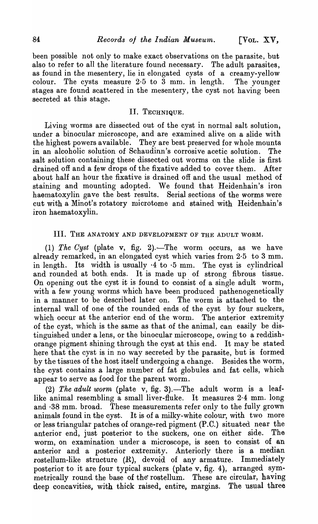been possible not only to make exact observations on the parasite, but also to refer to all the literature found necessary. The adult parasites, as found in the mesentery, lie in elongated cysts of a creamy-yellow colour. The cysts measure 2·5 to 3 mm. in length. The younger stages are found scattered in the mesentery, the cyst not having been secreted at this stage.

### II. TECHNIQUE.

Living worms are dissected out of the cyst in normal salt solution, under a binocular microscope, and are examined alive on a slide with the highest powers available. They are best preserved for whole mounts in an alcoholic solution of Schaudinn's corrosive acetic solution. The salt solution containing these dissected out worms on the slide is first drained off and a few drops of the fixative added to cover them. After about half an hour the fixative is drained off and the usual method of staining and mounting adopted. We found that Heidenhain's iron haematoxylin gave the best results. Serial sections of the worms were cut with a Minot's rotatory microtome and stained with Heidenhain's iron haematoxylin.

#### III. THE ANATOMY AND DEVELOPMENT OF THE ADULT WORM.

(1) The Cyst (plate v, fig. 2).-The worm occurs, as we have already remarked, in an elongated cyst which varies from 2·5 to 3 mm. in length. Its width is usually  $\cdot 4$  to  $\cdot 5$  mm. The cyst is cylindrical and rounded at both ends. It is made up of strong fibrous tissue. On opening out the cyst it is found to consist of a single adult worm) with a few young worms which have been produced pathenogeneticalIy in a manner to be described later on. The worm is attached to the internal wall of one of the rounded ends of the cyst by four suckers, which occur at the anterior end of the worm. The anterior extremity of the cyst, which is the same as that of the animal, can easily be distinguished under a lens, or the binocular microscope, owing to a reddishorange pigment shining through the cyst at this end. It may be stated here that the cyst is in no way secreted by the parasite, but is formed by the tissues of the host itself undergoing a change. Besides the worm, the cyst contains a large number of fat globules and fat cells, which appear to serve as food for the parent worm.

(2) The adult worm (plate v, fig. 3).-The adult worm is a leaflike animal resembling a small liver-fluke. It measures 2·4 mm. long and ·38 mm. broad. These measurements refer only to the fully grown animals found in the cyst. It is of a milky-white colour, with two more or less triangular patches of orange-red pigment (P.C.) situated near the anterior end, just posterior to the suckers, one on either side. The worm, on examination under a microscope, is seen to consist of an anterior and a posterior extremity. Anteriorly there is a median rostellum-like structure (R), devoid of any armature. Immediately posterior to it are four typical suckers (plate v, fig. 4), arranged symmetrically round the base of the rostellum. These are circular, having deep concavities, with thick raised, entire, margins. The usual three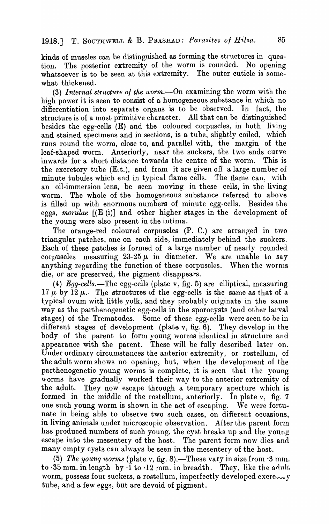kinds of muscles can be distinguished as forming the structures in question. The posterior extremity of the worm is rounded. No opening whatsoever is to be seen at this extremity. The outer cuticle is somewhat thickened.

(3) *Internal structure of the worm*.—On examining the worm with the high power it is seen to consist of a homogeneous substance in which no differentiation into separate organs is to be observed. In fact, the structure is of a most primitive character. All that can be distinguished besides the egg-cells  $(E)$  and the coloured corpuscles, in both living and stained specimens and in sections, is a tube, slightly coiled, which runs round the worm, close to, and parallel with, the margin of the leaf-shaped worm. Anteriorly, near the suckers, the two ends curve inwards for a short distance towards the centre of the worm. This is the excretory tube (E.t.), and from it are given off a large number of minute tubules which end in typical flame cells. The flame can, with an oil-immersion lens, be seen moving in these cells, in the living worm. The whole of the homogeneous substance referred to above is filled up with enormous numbers of minute egg-cells. Besides the eggs, *morulae* [(E (i)] and other higher stages in the development of the young were also present in the intima.

The orange-red coloured corpuscles  $(P, C)$  are arranged in two triangular patches, one on each side, immediately behind the suckers. Each of these patches is formed of a large number of nearly rounded corpuscles measuring  $23-25\mu$  in diameter. We are unable to say anything regarding the function of these corpuscles. When the worms die, or are preserved, the pigment disappears.

(4) *Egg-cells.*-The egg-cells (plate v, fig. 5) are elliptical, measuring 17  $\mu$  by 12  $\mu$ . The structures of the egg-cells is the same as that of a typical ovum with little yolk, and they probably originate in the same way as the parthenogenetic egg-cells in the sporocysts (and other larval stages) of the Trematodes. Some of these egg-cells were seen to be in different stages of development (plate v, fig. 6). They develop in the body of the parent to form young worms identical in structure and appearance with the parent. These will be fully described later on. Under ordinary circumstances the anterior extremity, or rostellum, of the adult worm shows no opening, but, when the development of the parthenogenetic young worms is complete, it is seen that the young worms have gradually worked their way to the anterior extremity of the adult. They now escape through a temporary aperture which is formed in the middle of the rostellum, anteriorly. In plate v, fig. 7 one such young worm is shown in the act of escaping. We were fortunate in being able to observe two such cases, on different occasions, in living animals under microscopic observation. After the parent form has produced numbers of such young, the cyst breaks up and the young escape into the mesentery of the host. The parent form now dies and many empty cysts can always be seen in the mesentery of the host.

(5) The young worms (plate v, fig. 8).—These vary in size from  $\cdot$ 3 mm. to  $35$  mm. in length by  $1$  to  $12$  mm. in breadth. They, like the adult worm, possess four suckers, a rostellum, imperfectly developed excretively tube, and a few eggs, but are devoid of pigment.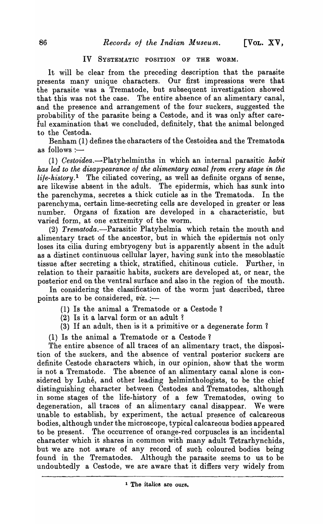### IV SYSTEMATIC POSITION OF THE WORM.

It will be clear from the preceding description that the parasite presents many unique characters. Our first impressions were that the parasite was a Trematode, but subsequent investigation showed that this was not the case. The entire absence of an alimentary canal, and the presence and arrangement of the four suckers, suggested the probability of the parasite being a Cestode, and it was only after careful examination that we concluded, definitely, that the animal belonged to the Cestoda.

Benham (1) defines the oharaoters of the Cestoidea and the Trematoda as follows : $-$ 

(1) *Cestoidea.-Platyhelminths* in which an internal parasitic *habit has led to the disappearance of the alimentary canal from every stage in the life-history.* 1 The ciliated covering, as well as definite organs of sense, are likewise absent in the adult. The epidermis, which has sunk into the parenchyma, secretes a thick cuticle as in the Trematoda. In the parenchyma, certain lime-secreting cells are developed in greater or less number. Organs of fixation are developed in a characteristic, but varied form, at one extremity of the worm.

*(2) Trematoda.-Parasitic* Platyhelmia which retain the mouth and alimentary tract of the ancestor, but in which the epidermis not only loses its cilia during embryogeny but is apparently absent in the adult as a distinct continuous cellular layer, having sunk into the mesoblastic tissue after secreting a thick, stratified, chitinous cuticle. Further, in relation to their parasitic habits, suckers are developed at, or near, the posterior end on the ventral surface and also in the region of the mouth.

In considering the classification of the worm just described, three points are to be considered, *viz.* :-

- (I) Is the animal a Trematode or a Cestode 1
- $(2)$  Is it a larval form or an adult?
- (3) If an adult, then is it a primitive or a degenerate form 1
- (1) Is the animal a Trematode or a Cestode 1

The entire absence of all traces of an alimentary tract, the disposition of the suckers, and the absence of ventral posterior suckers are definite Cestode characters which, in our opinion, show that the worm is not a Trematode. The absence of an alimentary canal alone is considered by Luhé, and other leading helminthologists, to be the chief distinguishing character between Cestodes and Trematodes, although in some stages of the life-history of a few Trematodes, owing to degeneration, all traces of an alimentary canal disappear. We were unable to establish, by experiment, the actual presence of calcareous bodies, although under the microscope, typical calcareous bodies appeared to be present. The occurrence of orange-red corpuscles is an incidental character which it shares in common with many adult Tetrarhynchids, but we are not aware of any record of such coloured bodies being found in the Trematodes. Although the parasite seems to us to be undoubtedly a Cestode, we are aware that it differs' very widely from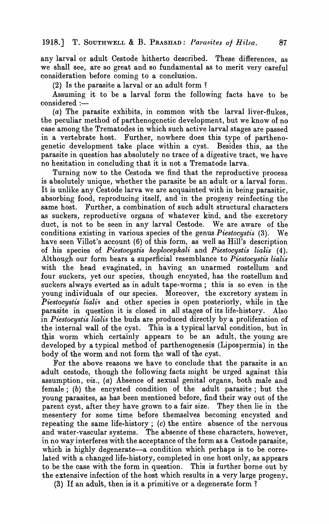any larval or adult Cestode hitherto described. These differences, as we shall see, are so great and so fundamental as to merit very careful consideration before coming to a conclusion.

 $(2)$  Is the parasite a larval or an adult form?

Assuming it to be a larval form the following facts have to be considered :-

(a) The parasite exhibits, in common with the larval liver-flukes, the peculiar method of parthenogenetic development, but we know of no case among the Trematodes in which such active larval stages are passed in a vertebrate host. Further, nowhere does this type of parthenogenetic development take place within a cyst. Besides this, as the parasite in question has absolutely no trace of a digestive tract, We have no hesitation in concluding that it is not a Trematode larva.

Turning now to the Cestoda we find that the reproductive process is absolutely unique, whether the parasite be an adult or a larval form. It is unlike any Cestode larva we are acquainted with in being parasitic, absorbing food, reproducing itself, and in the progeny reinfecting the same host. Further, a combination of such adult structural characters as suckers, reproductive organs of whatever kind, and the excretory duct, is not to be seen in any larval Cestode. We are aware of the conditions existing in various species of the genus *Piestocystis* (3). We have seen Villot's account (6) of this form, as well as Hill's description of his species of *Piestocystis hoplocephali* and *Piestocystis lialis* ( 4). Although our form bears a superficial resemblance to *Piestocystis lialis*  with the head evaginated, in having an unarmed rostellum and four suckers, yet our species, though encysted, has the rostellum and suckers always everted as in adult tape-worms; this is so even in the young individuals of our species. Moreover, the excretory system in *Piestocystis lialis* and other species is open posteriorly, while in the parasite in question it is closed in all stages of its life-history. Also in *Piestocystis lialis* the buds are produced directly by a proliferation of the internal wall of the cyst. This is a typical larval condition, but in this worm which certainly appears to be an adult, the young are developed by a typical method of parthenogenesis (Lipospermia) in the body of the worm and not form the wall of the cyst.

For the above reasons we have to conclude that the parasite is an adult cestode, though the following facts might be urged against this assumption, viz., (a) Absence of sexual genital organs, both male and female; (b) the encysted condition of the adult parasite; but the young parasites, as has been mentioned before, find their way out of the parent cyst, after they have grown to a fair size. They then lie in the mesentery for some time before themselves becoming encysted and repeating the same life-history; (c) the entire absence of the nervous and water-vascular systems. The absence of these characters, however, in no way interferes with the acceptance of the form as a Cestode parasite, which is highly degenerate—a condition which perhaps is to be correlated with a changed life-history, completed in one host only, as appears to be the case with the form in question. This is further borne out by the extensive infection of the host which results in a very large progeny.

(3) If an adult, then is it a primitive or a degenerate form?